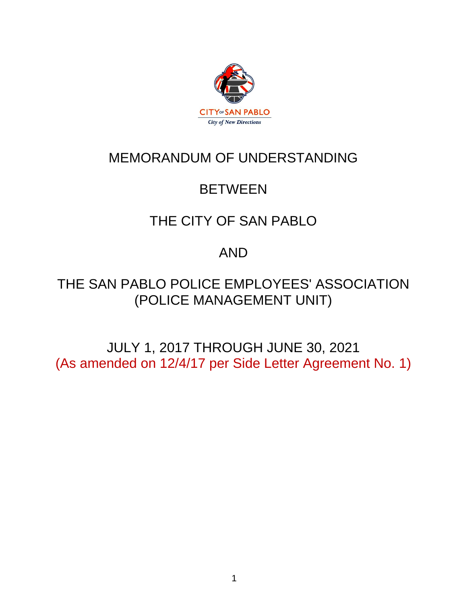

# MEMORANDUM OF UNDERSTANDING

# **BETWEEN**

# THE CITY OF SAN PABLO

# AND

# THE SAN PABLO POLICE EMPLOYEES' ASSOCIATION (POLICE MANAGEMENT UNIT)

JULY 1, 2017 THROUGH JUNE 30, 2021 (As amended on 12/4/17 per Side Letter Agreement No. 1)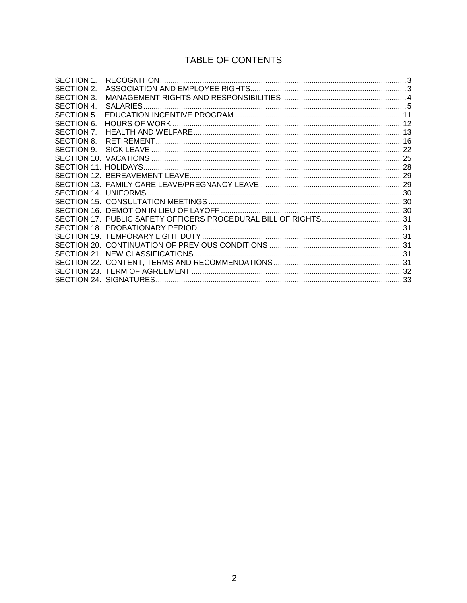# TABLE OF CONTENTS

| SECTION 1. |  |
|------------|--|
| SECTION 2. |  |
| SECTION 3. |  |
| SECTION 4. |  |
| SECTION 5. |  |
| SECTION 6. |  |
| SECTION 7. |  |
| SECTION 8. |  |
| SECTION 9. |  |
|            |  |
|            |  |
|            |  |
|            |  |
|            |  |
|            |  |
|            |  |
|            |  |
|            |  |
|            |  |
|            |  |
|            |  |
|            |  |
|            |  |
|            |  |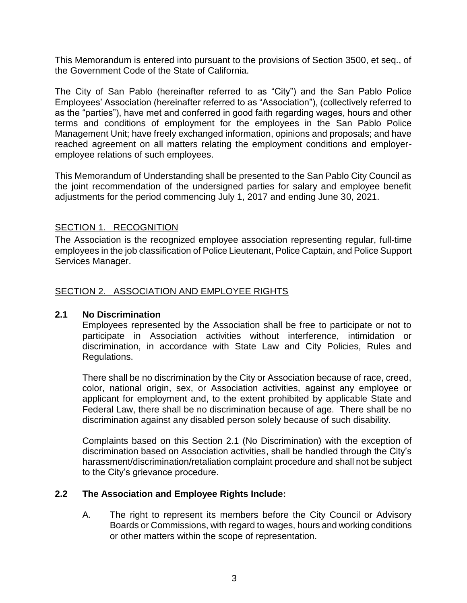This Memorandum is entered into pursuant to the provisions of Section 3500, et seq., of the Government Code of the State of California.

The City of San Pablo (hereinafter referred to as "City") and the San Pablo Police Employees' Association (hereinafter referred to as "Association"), (collectively referred to as the "parties"), have met and conferred in good faith regarding wages, hours and other terms and conditions of employment for the employees in the San Pablo Police Management Unit; have freely exchanged information, opinions and proposals; and have reached agreement on all matters relating the employment conditions and employeremployee relations of such employees.

This Memorandum of Understanding shall be presented to the San Pablo City Council as the joint recommendation of the undersigned parties for salary and employee benefit adjustments for the period commencing July 1, 2017 and ending June 30, 2021.

# <span id="page-2-0"></span>SECTION 1. RECOGNITION

The Association is the recognized employee association representing regular, full-time employees in the job classification of Police Lieutenant, Police Captain, and Police Support Services Manager.

# <span id="page-2-1"></span>SECTION 2. ASSOCIATION AND EMPLOYEE RIGHTS

#### **2.1 No Discrimination**

Employees represented by the Association shall be free to participate or not to participate in Association activities without interference, intimidation or discrimination, in accordance with State Law and City Policies, Rules and Regulations.

There shall be no discrimination by the City or Association because of race, creed, color, national origin, sex, or Association activities, against any employee or applicant for employment and, to the extent prohibited by applicable State and Federal Law, there shall be no discrimination because of age. There shall be no discrimination against any disabled person solely because of such disability.

Complaints based on this Section 2.1 (No Discrimination) with the exception of discrimination based on Association activities, shall be handled through the City's harassment/discrimination/retaliation complaint procedure and shall not be subject to the City's grievance procedure.

#### **2.2 The Association and Employee Rights Include:**

A. The right to represent its members before the City Council or Advisory Boards or Commissions, with regard to wages, hours and working conditions or other matters within the scope of representation.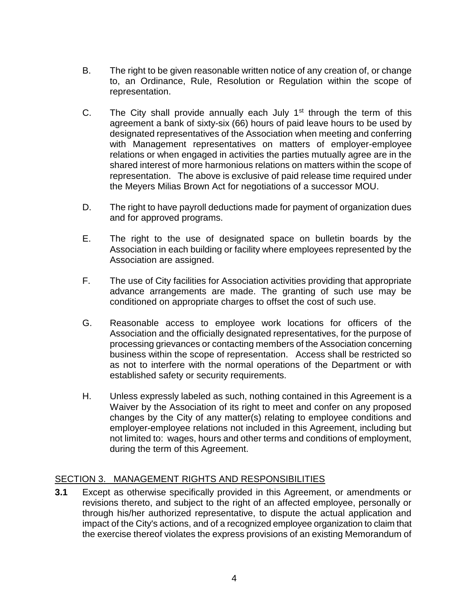- B. The right to be given reasonable written notice of any creation of, or change to, an Ordinance, Rule, Resolution or Regulation within the scope of representation.
- C. The City shall provide annually each July  $1<sup>st</sup>$  through the term of this agreement a bank of sixty-six (66) hours of paid leave hours to be used by designated representatives of the Association when meeting and conferring with Management representatives on matters of employer-employee relations or when engaged in activities the parties mutually agree are in the shared interest of more harmonious relations on matters within the scope of representation. The above is exclusive of paid release time required under the Meyers Milias Brown Act for negotiations of a successor MOU.
- D. The right to have payroll deductions made for payment of organization dues and for approved programs.
- E. The right to the use of designated space on bulletin boards by the Association in each building or facility where employees represented by the Association are assigned.
- F. The use of City facilities for Association activities providing that appropriate advance arrangements are made. The granting of such use may be conditioned on appropriate charges to offset the cost of such use.
- G. Reasonable access to employee work locations for officers of the Association and the officially designated representatives, for the purpose of processing grievances or contacting members of the Association concerning business within the scope of representation. Access shall be restricted so as not to interfere with the normal operations of the Department or with established safety or security requirements.
- H. Unless expressly labeled as such, nothing contained in this Agreement is a Waiver by the Association of its right to meet and confer on any proposed changes by the City of any matter(s) relating to employee conditions and employer-employee relations not included in this Agreement, including but not limited to: wages, hours and other terms and conditions of employment, during the term of this Agreement.

#### <span id="page-3-0"></span>SECTION 3. MANAGEMENT RIGHTS AND RESPONSIBILITIES

**3.1** Except as otherwise specifically provided in this Agreement, or amendments or revisions thereto, and subject to the right of an affected employee, personally or through his/her authorized representative, to dispute the actual application and impact of the City's actions, and of a recognized employee organization to claim that the exercise thereof violates the express provisions of an existing Memorandum of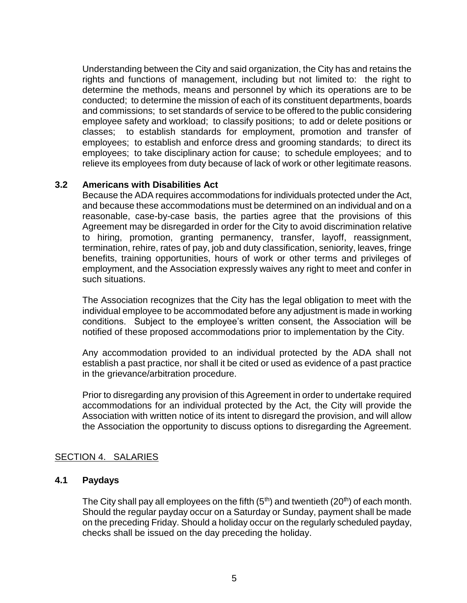Understanding between the City and said organization, the City has and retains the rights and functions of management, including but not limited to: the right to determine the methods, means and personnel by which its operations are to be conducted; to determine the mission of each of its constituent departments, boards and commissions; to set standards of service to be offered to the public considering employee safety and workload; to classify positions; to add or delete positions or classes; to establish standards for employment, promotion and transfer of employees; to establish and enforce dress and grooming standards; to direct its employees; to take disciplinary action for cause; to schedule employees; and to relieve its employees from duty because of lack of work or other legitimate reasons.

#### **3.2 Americans with Disabilities Act**

Because the ADA requires accommodations for individuals protected under the Act, and because these accommodations must be determined on an individual and on a reasonable, case-by-case basis, the parties agree that the provisions of this Agreement may be disregarded in order for the City to avoid discrimination relative to hiring, promotion, granting permanency, transfer, layoff, reassignment, termination, rehire, rates of pay, job and duty classification, seniority, leaves, fringe benefits, training opportunities, hours of work or other terms and privileges of employment, and the Association expressly waives any right to meet and confer in such situations.

The Association recognizes that the City has the legal obligation to meet with the individual employee to be accommodated before any adjustment is made in working conditions. Subject to the employee's written consent, the Association will be notified of these proposed accommodations prior to implementation by the City.

Any accommodation provided to an individual protected by the ADA shall not establish a past practice, nor shall it be cited or used as evidence of a past practice in the grievance/arbitration procedure.

Prior to disregarding any provision of this Agreement in order to undertake required accommodations for an individual protected by the Act, the City will provide the Association with written notice of its intent to disregard the provision, and will allow the Association the opportunity to discuss options to disregarding the Agreement.

#### <span id="page-4-0"></span>SECTION 4. SALARIES

#### **4.1 Paydays**

The City shall pay all employees on the fifth  $(5<sup>th</sup>)$  and twentieth  $(20<sup>th</sup>)$  of each month. Should the regular payday occur on a Saturday or Sunday, payment shall be made on the preceding Friday. Should a holiday occur on the regularly scheduled payday, checks shall be issued on the day preceding the holiday.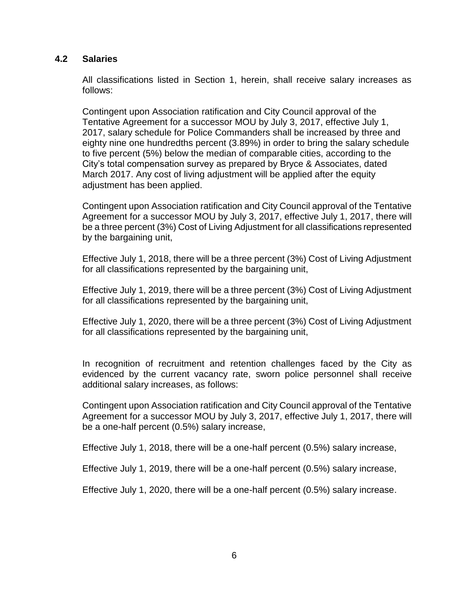#### **4.2 Salaries**

All classifications listed in Section 1, herein, shall receive salary increases as follows:

Contingent upon Association ratification and City Council approval of the Tentative Agreement for a successor MOU by July 3, 2017, effective July 1, 2017, salary schedule for Police Commanders shall be increased by three and eighty nine one hundredths percent (3.89%) in order to bring the salary schedule to five percent (5%) below the median of comparable cities, according to the City's total compensation survey as prepared by Bryce & Associates, dated March 2017. Any cost of living adjustment will be applied after the equity adjustment has been applied.

Contingent upon Association ratification and City Council approval of the Tentative Agreement for a successor MOU by July 3, 2017, effective July 1, 2017, there will be a three percent (3%) Cost of Living Adjustment for all classifications represented by the bargaining unit,

Effective July 1, 2018, there will be a three percent (3%) Cost of Living Adjustment for all classifications represented by the bargaining unit,

Effective July 1, 2019, there will be a three percent (3%) Cost of Living Adjustment for all classifications represented by the bargaining unit,

Effective July 1, 2020, there will be a three percent (3%) Cost of Living Adjustment for all classifications represented by the bargaining unit,

In recognition of recruitment and retention challenges faced by the City as evidenced by the current vacancy rate, sworn police personnel shall receive additional salary increases, as follows:

Contingent upon Association ratification and City Council approval of the Tentative Agreement for a successor MOU by July 3, 2017, effective July 1, 2017, there will be a one-half percent (0.5%) salary increase,

Effective July 1, 2018, there will be a one-half percent (0.5%) salary increase,

Effective July 1, 2019, there will be a one-half percent (0.5%) salary increase,

Effective July 1, 2020, there will be a one-half percent (0.5%) salary increase.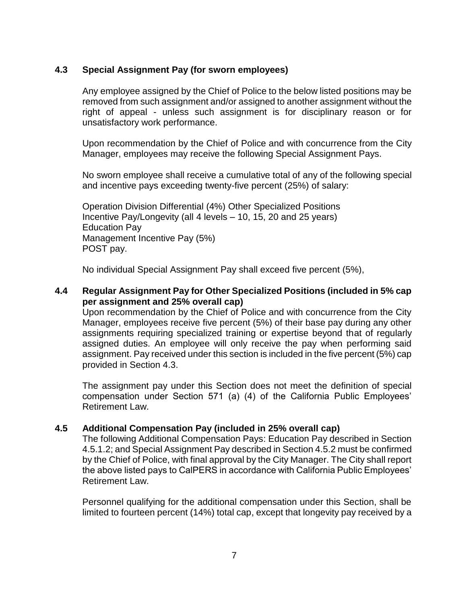### **4.3 Special Assignment Pay (for sworn employees)**

Any employee assigned by the Chief of Police to the below listed positions may be removed from such assignment and/or assigned to another assignment without the right of appeal - unless such assignment is for disciplinary reason or for unsatisfactory work performance.

Upon recommendation by the Chief of Police and with concurrence from the City Manager, employees may receive the following Special Assignment Pays.

No sworn employee shall receive a cumulative total of any of the following special and incentive pays exceeding twenty-five percent (25%) of salary:

Operation Division Differential (4%) Other Specialized Positions Incentive Pay/Longevity (all 4 levels – 10, 15, 20 and 25 years) Education Pay Management Incentive Pay (5%) POST pay.

No individual Special Assignment Pay shall exceed five percent (5%),

### **4.4 Regular Assignment Pay for Other Specialized Positions (included in 5% cap per assignment and 25% overall cap)**

Upon recommendation by the Chief of Police and with concurrence from the City Manager, employees receive five percent (5%) of their base pay during any other assignments requiring specialized training or expertise beyond that of regularly assigned duties. An employee will only receive the pay when performing said assignment. Pay received under this section is included in the five percent (5%) cap provided in Section 4.3.

The assignment pay under this Section does not meet the definition of special compensation under Section 571 (a) (4) of the California Public Employees' Retirement Law.

#### **4.5 Additional Compensation Pay (included in 25% overall cap)**

The following Additional Compensation Pays: Education Pay described in Section 4.5.1.2; and Special Assignment Pay described in Section 4.5.2 must be confirmed by the Chief of Police, with final approval by the City Manager. The City shall report the above listed pays to CalPERS in accordance with California Public Employees' Retirement Law.

Personnel qualifying for the additional compensation under this Section, shall be limited to fourteen percent (14%) total cap, except that longevity pay received by a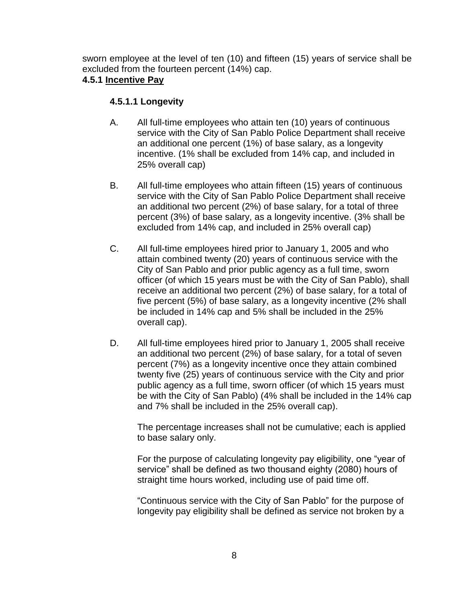sworn employee at the level of ten (10) and fifteen (15) years of service shall be excluded from the fourteen percent (14%) cap.

# **4.5.1 Incentive Pay**

# **4.5.1.1 Longevity**

- A. All full-time employees who attain ten (10) years of continuous service with the City of San Pablo Police Department shall receive an additional one percent (1%) of base salary, as a longevity incentive. (1% shall be excluded from 14% cap, and included in 25% overall cap)
- B. All full-time employees who attain fifteen (15) years of continuous service with the City of San Pablo Police Department shall receive an additional two percent (2%) of base salary, for a total of three percent (3%) of base salary, as a longevity incentive. (3% shall be excluded from 14% cap, and included in 25% overall cap)
- C. All full-time employees hired prior to January 1, 2005 and who attain combined twenty (20) years of continuous service with the City of San Pablo and prior public agency as a full time, sworn officer (of which 15 years must be with the City of San Pablo), shall receive an additional two percent (2%) of base salary, for a total of five percent (5%) of base salary, as a longevity incentive (2% shall be included in 14% cap and 5% shall be included in the 25% overall cap).
- D. All full-time employees hired prior to January 1, 2005 shall receive an additional two percent (2%) of base salary, for a total of seven percent (7%) as a longevity incentive once they attain combined twenty five (25) years of continuous service with the City and prior public agency as a full time, sworn officer (of which 15 years must be with the City of San Pablo) (4% shall be included in the 14% cap and 7% shall be included in the 25% overall cap).

The percentage increases shall not be cumulative; each is applied to base salary only.

For the purpose of calculating longevity pay eligibility, one "year of service" shall be defined as two thousand eighty (2080) hours of straight time hours worked, including use of paid time off.

"Continuous service with the City of San Pablo" for the purpose of longevity pay eligibility shall be defined as service not broken by a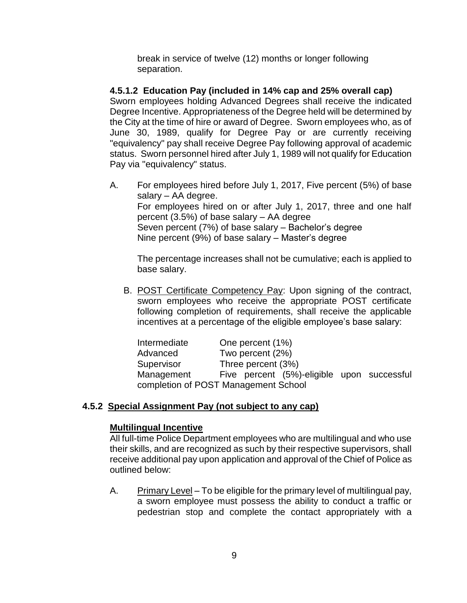break in service of twelve (12) months or longer following separation.

# **4.5.1.2 Education Pay (included in 14% cap and 25% overall cap)**

Sworn employees holding Advanced Degrees shall receive the indicated Degree Incentive. Appropriateness of the Degree held will be determined by the City at the time of hire or award of Degree. Sworn employees who, as of June 30, 1989, qualify for Degree Pay or are currently receiving "equivalency" pay shall receive Degree Pay following approval of academic status. Sworn personnel hired after July 1, 1989 will not qualify for Education Pay via "equivalency" status.

A. For employees hired before July 1, 2017, Five percent (5%) of base salary – AA degree. For employees hired on or after July 1, 2017, three and one half percent (3.5%) of base salary – AA degree Seven percent (7%) of base salary – Bachelor's degree Nine percent (9%) of base salary – Master's degree

The percentage increases shall not be cumulative; each is applied to base salary.

B. POST Certificate Competency Pay: Upon signing of the contract, sworn employees who receive the appropriate POST certificate following completion of requirements, shall receive the applicable incentives at a percentage of the eligible employee's base salary:

Intermediate One percent (1%) Advanced Two percent (2%) Supervisor Three percent (3%)<br>Management Five percent (5%) Five percent (5%)-eligible upon successful completion of POST Management School

# **4.5.2 Special Assignment Pay (not subject to any cap)**

#### **Multilingual Incentive**

All full-time Police Department employees who are multilingual and who use their skills, and are recognized as such by their respective supervisors, shall receive additional pay upon application and approval of the Chief of Police as outlined below:

A. Primary Level – To be eligible for the primary level of multilingual pay, a sworn employee must possess the ability to conduct a traffic or pedestrian stop and complete the contact appropriately with a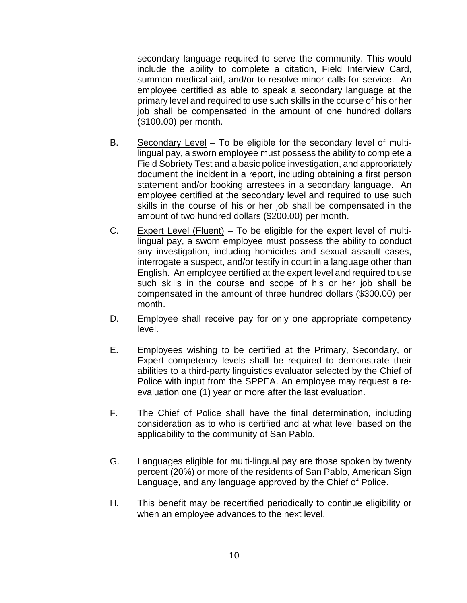secondary language required to serve the community. This would include the ability to complete a citation, Field Interview Card, summon medical aid, and/or to resolve minor calls for service. An employee certified as able to speak a secondary language at the primary level and required to use such skills in the course of his or her job shall be compensated in the amount of one hundred dollars (\$100.00) per month.

- B. Secondary Level To be eligible for the secondary level of multilingual pay, a sworn employee must possess the ability to complete a Field Sobriety Test and a basic police investigation, and appropriately document the incident in a report, including obtaining a first person statement and/or booking arrestees in a secondary language. An employee certified at the secondary level and required to use such skills in the course of his or her job shall be compensated in the amount of two hundred dollars (\$200.00) per month.
- C. Expert Level (Fluent) To be eligible for the expert level of multilingual pay, a sworn employee must possess the ability to conduct any investigation, including homicides and sexual assault cases, interrogate a suspect, and/or testify in court in a language other than English. An employee certified at the expert level and required to use such skills in the course and scope of his or her job shall be compensated in the amount of three hundred dollars (\$300.00) per month.
- D. Employee shall receive pay for only one appropriate competency level.
- E. Employees wishing to be certified at the Primary, Secondary, or Expert competency levels shall be required to demonstrate their abilities to a third-party linguistics evaluator selected by the Chief of Police with input from the SPPEA. An employee may request a reevaluation one (1) year or more after the last evaluation.
- F. The Chief of Police shall have the final determination, including consideration as to who is certified and at what level based on the applicability to the community of San Pablo.
- G. Languages eligible for multi-lingual pay are those spoken by twenty percent (20%) or more of the residents of San Pablo, American Sign Language, and any language approved by the Chief of Police.
- H. This benefit may be recertified periodically to continue eligibility or when an employee advances to the next level.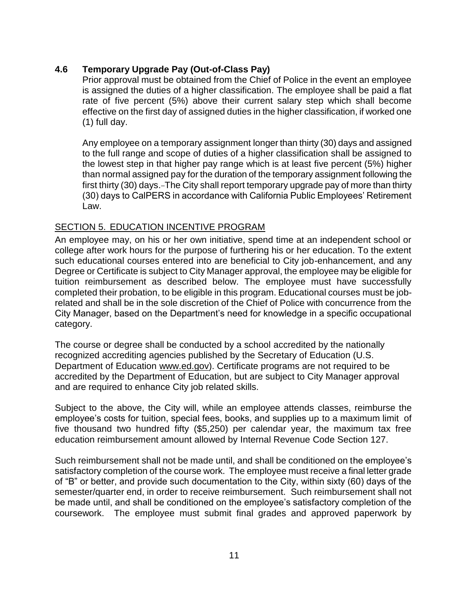# **4.6 Temporary Upgrade Pay (Out-of-Class Pay)**

Prior approval must be obtained from the Chief of Police in the event an employee is assigned the duties of a higher classification. The employee shall be paid a flat rate of five percent (5%) above their current salary step which shall become effective on the first day of assigned duties in the higher classification, if worked one (1) full day.

Any employee on a temporary assignment longer than thirty (30) days and assigned to the full range and scope of duties of a higher classification shall be assigned to the lowest step in that higher pay range which is at least five percent (5%) higher than normal assigned pay for the duration of the temporary assignment following the first thirty (30) days.–The City shall report temporary upgrade pay of more than thirty (30) days to CalPERS in accordance with California Public Employees' Retirement Law.

#### <span id="page-10-0"></span>SECTION 5. EDUCATION INCENTIVE PROGRAM

An employee may, on his or her own initiative, spend time at an independent school or college after work hours for the purpose of furthering his or her education. To the extent such educational courses entered into are beneficial to City job-enhancement, and any Degree or Certificate is subject to City Manager approval, the employee may be eligible for tuition reimbursement as described below. The employee must have successfully completed their probation, to be eligible in this program. Educational courses must be jobrelated and shall be in the sole discretion of the Chief of Police with concurrence from the City Manager, based on the Department's need for knowledge in a specific occupational category.

The course or degree shall be conducted by a school accredited by the nationally recognized accrediting agencies published by the Secretary of Education (U.S. Department of Education [www.ed.gov\)](http://www.ed.gov/). Certificate programs are not required to be accredited by the Department of Education, but are subject to City Manager approval and are required to enhance City job related skills.

Subject to the above, the City will, while an employee attends classes, reimburse the employee's costs for tuition, special fees, books, and supplies up to a maximum limit of five thousand two hundred fifty (\$5,250) per calendar year, the maximum tax free education reimbursement amount allowed by Internal Revenue Code Section 127.

Such reimbursement shall not be made until, and shall be conditioned on the employee's satisfactory completion of the course work. The employee must receive a final letter grade of "B" or better, and provide such documentation to the City, within sixty (60) days of the semester/quarter end, in order to receive reimbursement. Such reimbursement shall not be made until, and shall be conditioned on the employee's satisfactory completion of the coursework. The employee must submit final grades and approved paperwork by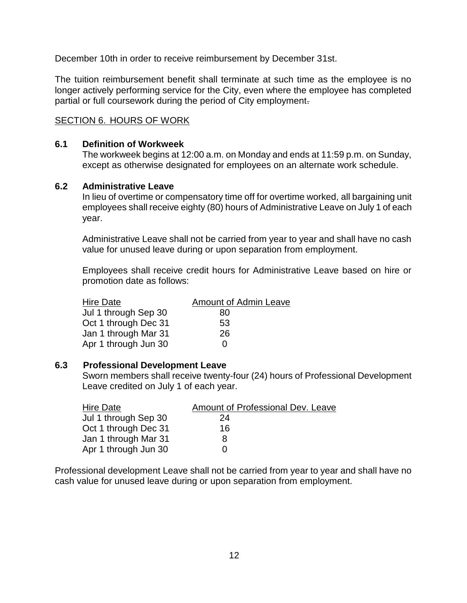December 10th in order to receive reimbursement by December 31st.

The tuition reimbursement benefit shall terminate at such time as the employee is no longer actively performing service for the City, even where the employee has completed partial or full coursework during the period of City employment.

#### <span id="page-11-0"></span>SECTION 6. HOURS OF WORK

#### **6.1 Definition of Workweek**

The workweek begins at 12:00 a.m. on Monday and ends at 11:59 p.m. on Sunday, except as otherwise designated for employees on an alternate work schedule.

#### **6.2 Administrative Leave**

In lieu of overtime or compensatory time off for overtime worked, all bargaining unit employees shall receive eighty (80) hours of Administrative Leave on July 1 of each year.

Administrative Leave shall not be carried from year to year and shall have no cash value for unused leave during or upon separation from employment.

Employees shall receive credit hours for Administrative Leave based on hire or promotion date as follows:

| Hire Date            | <b>Amount of Admin Leave</b> |
|----------------------|------------------------------|
| Jul 1 through Sep 30 | 80                           |
| Oct 1 through Dec 31 | 53                           |
| Jan 1 through Mar 31 | 26                           |
| Apr 1 through Jun 30 | 0                            |

#### **6.3 Professional Development Leave**

Sworn members shall receive twenty-four (24) hours of Professional Development Leave credited on July 1 of each year.

| Hire Date            | Amount of Professional Dev. Leave |
|----------------------|-----------------------------------|
| Jul 1 through Sep 30 | 24                                |
| Oct 1 through Dec 31 | 16                                |
| Jan 1 through Mar 31 | 8                                 |
| Apr 1 through Jun 30 |                                   |

Professional development Leave shall not be carried from year to year and shall have no cash value for unused leave during or upon separation from employment.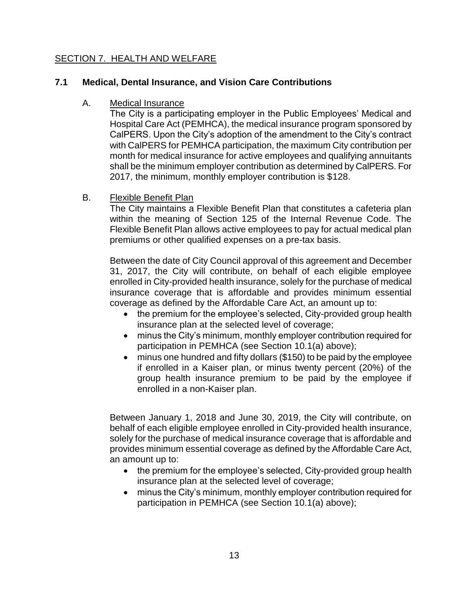# <span id="page-12-0"></span>SECTION 7. HEALTH AND WELFARE

# **7.1 Medical, Dental Insurance, and Vision Care Contributions**

#### A. Medical Insurance

The City is a participating employer in the Public Employees' Medical and Hospital Care Act (PEMHCA), the medical insurance program sponsored by CalPERS. Upon the City's adoption of the amendment to the City's contract with CalPERS for PEMHCA participation, the maximum City contribution per month for medical insurance for active employees and qualifying annuitants shall be the minimum employer contribution as determined by CalPERS. For 2017, the minimum, monthly employer contribution is \$128.

#### B. Flexible Benefit Plan

The City maintains a Flexible Benefit Plan that constitutes a cafeteria plan within the meaning of Section 125 of the Internal Revenue Code. The Flexible Benefit Plan allows active employees to pay for actual medical plan premiums or other qualified expenses on a pre-tax basis.

Between the date of City Council approval of this agreement and December 31, 2017, the City will contribute, on behalf of each eligible employee enrolled in City-provided health insurance, solely for the purchase of medical insurance coverage that is affordable and provides minimum essential coverage as defined by the Affordable Care Act, an amount up to:

- the premium for the employee's selected, City-provided group health insurance plan at the selected level of coverage;
- minus the City's minimum, monthly employer contribution required for participation in PEMHCA (see Section 10.1(a) above);
- minus one hundred and fifty dollars (\$150) to be paid by the employee if enrolled in a Kaiser plan, or minus twenty percent (20%) of the group health insurance premium to be paid by the employee if enrolled in a non-Kaiser plan.

Between January 1, 2018 and June 30, 2019, the City will contribute, on behalf of each eligible employee enrolled in City-provided health insurance, solely for the purchase of medical insurance coverage that is affordable and provides minimum essential coverage as defined by the Affordable Care Act, an amount up to:

- the premium for the employee's selected, City-provided group health insurance plan at the selected level of coverage;
- minus the City's minimum, monthly employer contribution required for participation in PEMHCA (see Section 10.1(a) above);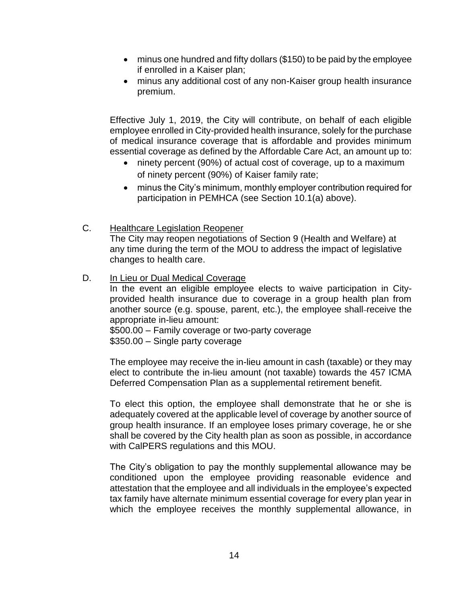- minus one hundred and fifty dollars (\$150) to be paid by the employee if enrolled in a Kaiser plan;
- minus any additional cost of any non-Kaiser group health insurance premium.

Effective July 1, 2019, the City will contribute, on behalf of each eligible employee enrolled in City-provided health insurance, solely for the purchase of medical insurance coverage that is affordable and provides minimum essential coverage as defined by the Affordable Care Act, an amount up to:

- ninety percent (90%) of actual cost of coverage, up to a maximum of ninety percent (90%) of Kaiser family rate;
- minus the City's minimum, monthly employer contribution required for participation in PEMHCA (see Section 10.1(a) above).
- C. Healthcare Legislation Reopener

The City may reopen negotiations of Section 9 (Health and Welfare) at any time during the term of the MOU to address the impact of legislative changes to health care.

D. In Lieu or Dual Medical Coverage

In the event an eligible employee elects to waive participation in Cityprovided health insurance due to coverage in a group health plan from another source (e.g. spouse, parent, etc.), the employee shall-receive the appropriate in-lieu amount:

\$500.00 – Family coverage or two-party coverage \$350.00 – Single party coverage

The employee may receive the in-lieu amount in cash (taxable) or they may elect to contribute the in-lieu amount (not taxable) towards the 457 ICMA Deferred Compensation Plan as a supplemental retirement benefit.

To elect this option, the employee shall demonstrate that he or she is adequately covered at the applicable level of coverage by another source of group health insurance. If an employee loses primary coverage, he or she shall be covered by the City health plan as soon as possible, in accordance with CalPERS regulations and this MOU.

The City's obligation to pay the monthly supplemental allowance may be conditioned upon the employee providing reasonable evidence and attestation that the employee and all individuals in the employee's expected tax family have alternate minimum essential coverage for every plan year in which the employee receives the monthly supplemental allowance, in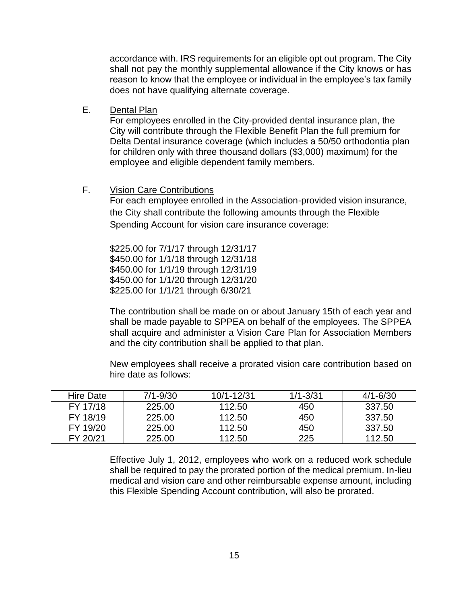accordance with. IRS requirements for an eligible opt out program. The City shall not pay the monthly supplemental allowance if the City knows or has reason to know that the employee or individual in the employee's tax family does not have qualifying alternate coverage.

E. Dental Plan

For employees enrolled in the City-provided dental insurance plan, the City will contribute through the Flexible Benefit Plan the full premium for Delta Dental insurance coverage (which includes a 50/50 orthodontia plan for children only with three thousand dollars (\$3,000) maximum) for the employee and eligible dependent family members.

F. Vision Care Contributions

For each employee enrolled in the Association-provided vision insurance, the City shall contribute the following amounts through the Flexible Spending Account for vision care insurance coverage:

\$225.00 for 7/1/17 through 12/31/17 \$450.00 for 1/1/18 through 12/31/18 \$450.00 for 1/1/19 through 12/31/19 \$450.00 for 1/1/20 through 12/31/20 \$225.00 for 1/1/21 through 6/30/21

The contribution shall be made on or about January 15th of each year and shall be made payable to SPPEA on behalf of the employees. The SPPEA shall acquire and administer a Vision Care Plan for Association Members and the city contribution shall be applied to that plan.

New employees shall receive a prorated vision care contribution based on hire date as follows:

| Hire Date | $7/1 - 9/30$ | 10/1-12/31 | $1/1 - 3/31$ | $4/1 - 6/30$ |
|-----------|--------------|------------|--------------|--------------|
| FY 17/18  | 225.00       | 112.50     | 450          | 337.50       |
| FY 18/19  | 225.00       | 112.50     | 450          | 337.50       |
| FY 19/20  | 225.00       | 112.50     | 450          | 337.50       |
| FY 20/21  | 225.00       | 112.50     | 225          | 112.50       |

Effective July 1, 2012, employees who work on a reduced work schedule shall be required to pay the prorated portion of the medical premium. In-lieu medical and vision care and other reimbursable expense amount, including this Flexible Spending Account contribution, will also be prorated.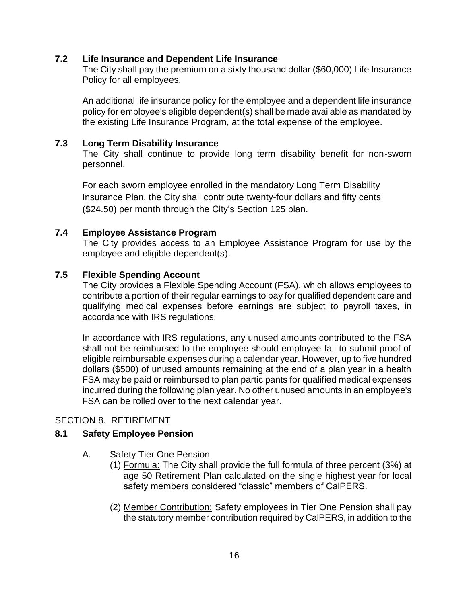#### **7.2 Life Insurance and Dependent Life Insurance**

The City shall pay the premium on a sixty thousand dollar (\$60,000) Life Insurance Policy for all employees.

An additional life insurance policy for the employee and a dependent life insurance policy for employee's eligible dependent(s) shall be made available as mandated by the existing Life Insurance Program, at the total expense of the employee.

#### **7.3 Long Term Disability Insurance**

The City shall continue to provide long term disability benefit for non-sworn personnel.

For each sworn employee enrolled in the mandatory Long Term Disability Insurance Plan, the City shall contribute twenty-four dollars and fifty cents (\$24.50) per month through the City's Section 125 plan.

#### **7.4 Employee Assistance Program**

The City provides access to an Employee Assistance Program for use by the employee and eligible dependent(s).

#### **7.5 Flexible Spending Account**

The City provides a Flexible Spending Account (FSA), which allows employees to contribute a portion of their regular earnings to pay for qualified dependent care and qualifying medical expenses before earnings are subject to payroll taxes, in accordance with IRS regulations.

In accordance with IRS regulations, any unused amounts contributed to the FSA shall not be reimbursed to the employee should employee fail to submit proof of eligible reimbursable expenses during a calendar year. However, up to five hundred dollars (\$500) of unused amounts remaining at the end of a plan year in a health FSA may be paid or reimbursed to plan participants for qualified medical expenses incurred during the following plan year. No other unused amounts in an employee's FSA can be rolled over to the next calendar year.

#### <span id="page-15-0"></span>SECTION 8. RETIREMENT

#### **8.1 Safety Employee Pension**

- A. Safety Tier One Pension
	- (1) Formula: The City shall provide the full formula of three percent (3%) at age 50 Retirement Plan calculated on the single highest year for local safety members considered "classic" members of CalPERS.
	- (2) Member Contribution: Safety employees in Tier One Pension shall pay the statutory member contribution required by CalPERS, in addition to the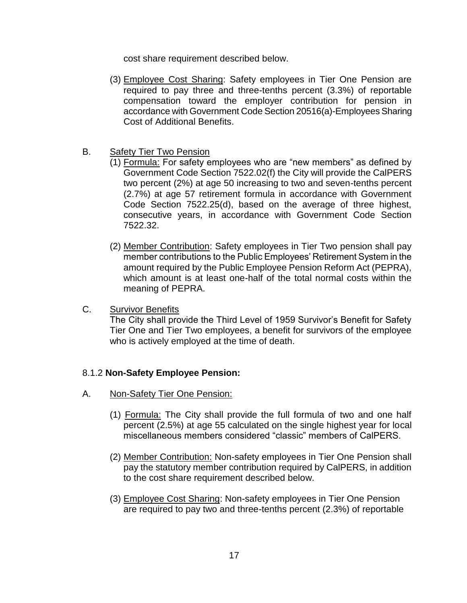cost share requirement described below.

- (3) Employee Cost Sharing: Safety employees in Tier One Pension are required to pay three and three-tenths percent (3.3%) of reportable compensation toward the employer contribution for pension in accordance with Government Code Section 20516(a)-Employees Sharing Cost of Additional Benefits.
- B. Safety Tier Two Pension
	- (1) Formula: For safety employees who are "new members" as defined by Government Code Section 7522.02(f) the City will provide the CalPERS two percent (2%) at age 50 increasing to two and seven-tenths percent (2.7%) at age 57 retirement formula in accordance with Government Code Section 7522.25(d), based on the average of three highest, consecutive years, in accordance with Government Code Section 7522.32.
	- (2) Member Contribution: Safety employees in Tier Two pension shall pay member contributions to the Public Employees' Retirement System in the amount required by the Public Employee Pension Reform Act (PEPRA), which amount is at least one-half of the total normal costs within the meaning of PEPRA.
- C. Survivor Benefits

The City shall provide the Third Level of 1959 Survivor's Benefit for Safety Tier One and Tier Two employees, a benefit for survivors of the employee who is actively employed at the time of death.

#### 8.1.2 **Non-Safety Employee Pension:**

- A. Non-Safety Tier One Pension:
	- (1) Formula: The City shall provide the full formula of two and one half percent (2.5%) at age 55 calculated on the single highest year for local miscellaneous members considered "classic" members of CalPERS.
	- (2) Member Contribution: Non-safety employees in Tier One Pension shall pay the statutory member contribution required by CalPERS, in addition to the cost share requirement described below.
	- (3) Employee Cost Sharing: Non-safety employees in Tier One Pension are required to pay two and three-tenths percent (2.3%) of reportable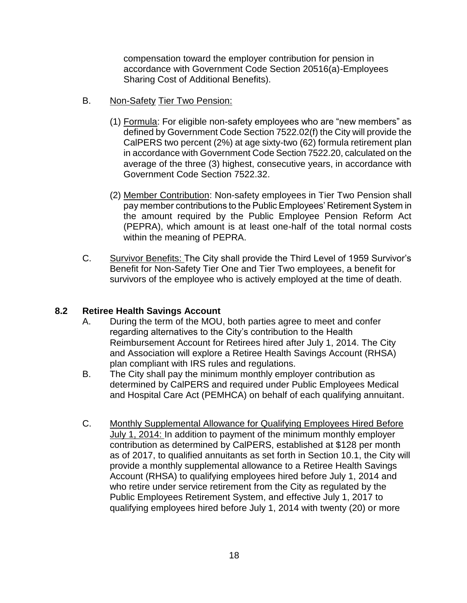compensation toward the employer contribution for pension in accordance with Government Code Section 20516(a)-Employees Sharing Cost of Additional Benefits).

- B. Non-Safety Tier Two Pension:
	- (1) Formula: For eligible non-safety employees who are "new members" as defined by Government Code Section 7522.02(f) the City will provide the CalPERS two percent (2%) at age sixty-two (62) formula retirement plan in accordance with Government Code Section 7522.20, calculated on the average of the three (3) highest, consecutive years, in accordance with Government Code Section 7522.32.
	- (2) Member Contribution: Non-safety employees in Tier Two Pension shall pay member contributions to the Public Employees' Retirement System in the amount required by the Public Employee Pension Reform Act (PEPRA), which amount is at least one-half of the total normal costs within the meaning of PEPRA.
- C. Survivor Benefits: The City shall provide the Third Level of 1959 Survivor's Benefit for Non-Safety Tier One and Tier Two employees, a benefit for survivors of the employee who is actively employed at the time of death.

# **8.2 Retiree Health Savings Account**

- A. During the term of the MOU, both parties agree to meet and confer regarding alternatives to the City's contribution to the Health Reimbursement Account for Retirees hired after July 1, 2014. The City and Association will explore a Retiree Health Savings Account (RHSA) plan compliant with IRS rules and regulations.
- B. The City shall pay the minimum monthly employer contribution as determined by CalPERS and required under Public Employees Medical and Hospital Care Act (PEMHCA) on behalf of each qualifying annuitant.
- C. Monthly Supplemental Allowance for Qualifying Employees Hired Before July 1, 2014: In addition to payment of the minimum monthly employer contribution as determined by CalPERS, established at \$128 per month as of 2017, to qualified annuitants as set forth in Section 10.1, the City will provide a monthly supplemental allowance to a Retiree Health Savings Account (RHSA) to qualifying employees hired before July 1, 2014 and who retire under service retirement from the City as regulated by the Public Employees Retirement System, and effective July 1, 2017 to qualifying employees hired before July 1, 2014 with twenty (20) or more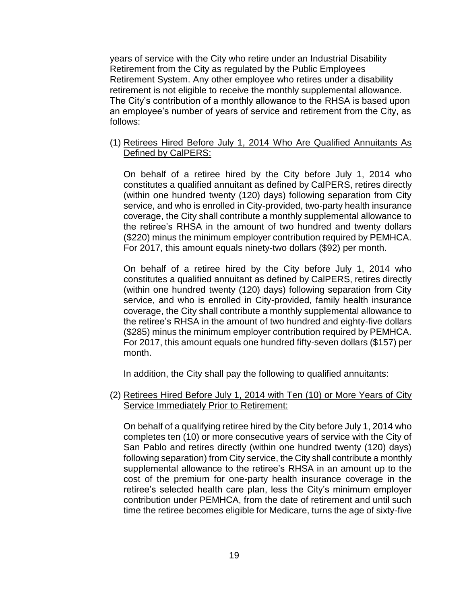years of service with the City who retire under an Industrial Disability Retirement from the City as regulated by the Public Employees Retirement System. Any other employee who retires under a disability retirement is not eligible to receive the monthly supplemental allowance. The City's contribution of a monthly allowance to the RHSA is based upon an employee's number of years of service and retirement from the City, as follows:

(1) Retirees Hired Before July 1, 2014 Who Are Qualified Annuitants As Defined by CalPERS:

On behalf of a retiree hired by the City before July 1, 2014 who constitutes a qualified annuitant as defined by CalPERS, retires directly (within one hundred twenty (120) days) following separation from City service, and who is enrolled in City-provided, two-party health insurance coverage, the City shall contribute a monthly supplemental allowance to the retiree's RHSA in the amount of two hundred and twenty dollars (\$220) minus the minimum employer contribution required by PEMHCA. For 2017, this amount equals ninety-two dollars (\$92) per month.

On behalf of a retiree hired by the City before July 1, 2014 who constitutes a qualified annuitant as defined by CalPERS, retires directly (within one hundred twenty (120) days) following separation from City service, and who is enrolled in City-provided, family health insurance coverage, the City shall contribute a monthly supplemental allowance to the retiree's RHSA in the amount of two hundred and eighty-five dollars (\$285) minus the minimum employer contribution required by PEMHCA. For 2017, this amount equals one hundred fifty-seven dollars (\$157) per month.

In addition, the City shall pay the following to qualified annuitants:

(2) Retirees Hired Before July 1, 2014 with Ten (10) or More Years of City Service Immediately Prior to Retirement:

On behalf of a qualifying retiree hired by the City before July 1, 2014 who completes ten (10) or more consecutive years of service with the City of San Pablo and retires directly (within one hundred twenty (120) days) following separation) from City service, the City shall contribute a monthly supplemental allowance to the retiree's RHSA in an amount up to the cost of the premium for one-party health insurance coverage in the retiree's selected health care plan, less the City's minimum employer contribution under PEMHCA, from the date of retirement and until such time the retiree becomes eligible for Medicare, turns the age of sixty-five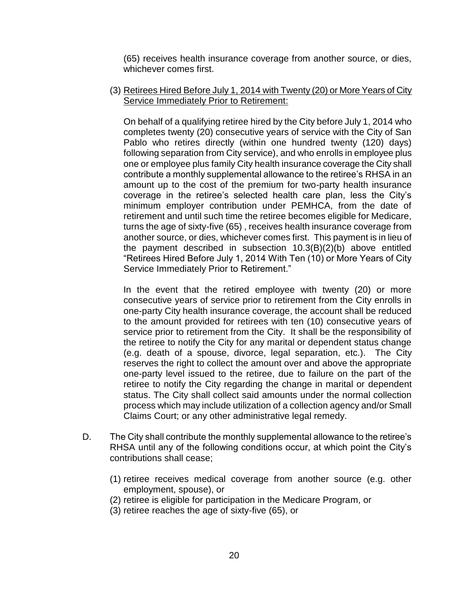(65) receives health insurance coverage from another source, or dies, whichever comes first.

(3) Retirees Hired Before July 1, 2014 with Twenty (20) or More Years of City Service Immediately Prior to Retirement:

On behalf of a qualifying retiree hired by the City before July 1, 2014 who completes twenty (20) consecutive years of service with the City of San Pablo who retires directly (within one hundred twenty (120) days) following separation from City service), and who enrolls in employee plus one or employee plus family City health insurance coverage the City shall contribute a monthly supplemental allowance to the retiree's RHSA in an amount up to the cost of the premium for two-party health insurance coverage in the retiree's selected health care plan, less the City's minimum employer contribution under PEMHCA, from the date of retirement and until such time the retiree becomes eligible for Medicare, turns the age of sixty-five (65) , receives health insurance coverage from another source, or dies, whichever comes first. This payment is in lieu of the payment described in subsection 10.3(B)(2)(b) above entitled "Retirees Hired Before July 1, 2014 With Ten (10) or More Years of City Service Immediately Prior to Retirement."

In the event that the retired employee with twenty (20) or more consecutive years of service prior to retirement from the City enrolls in one-party City health insurance coverage, the account shall be reduced to the amount provided for retirees with ten (10) consecutive years of service prior to retirement from the City. It shall be the responsibility of the retiree to notify the City for any marital or dependent status change (e.g. death of a spouse, divorce, legal separation, etc.). The City reserves the right to collect the amount over and above the appropriate one-party level issued to the retiree, due to failure on the part of the retiree to notify the City regarding the change in marital or dependent status. The City shall collect said amounts under the normal collection process which may include utilization of a collection agency and/or Small Claims Court; or any other administrative legal remedy.

- D. The City shall contribute the monthly supplemental allowance to the retiree's RHSA until any of the following conditions occur, at which point the City's contributions shall cease;
	- (1) retiree receives medical coverage from another source (e.g. other employment, spouse), or
	- (2) retiree is eligible for participation in the Medicare Program, or
	- (3) retiree reaches the age of sixty-five (65), or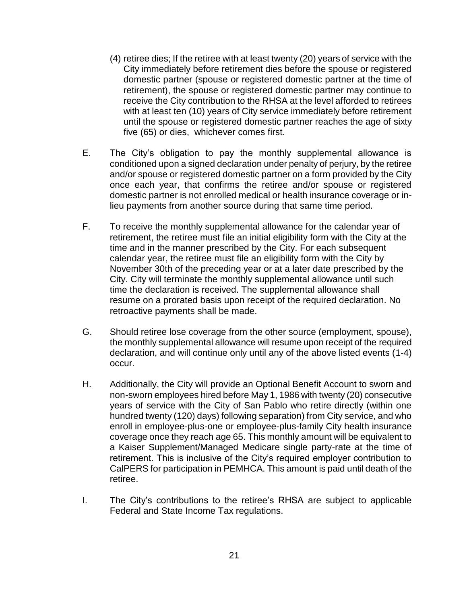- (4) retiree dies; If the retiree with at least twenty (20) years of service with the City immediately before retirement dies before the spouse or registered domestic partner (spouse or registered domestic partner at the time of retirement), the spouse or registered domestic partner may continue to receive the City contribution to the RHSA at the level afforded to retirees with at least ten (10) years of City service immediately before retirement until the spouse or registered domestic partner reaches the age of sixty five (65) or dies, whichever comes first.
- E. The City's obligation to pay the monthly supplemental allowance is conditioned upon a signed declaration under penalty of perjury, by the retiree and/or spouse or registered domestic partner on a form provided by the City once each year, that confirms the retiree and/or spouse or registered domestic partner is not enrolled medical or health insurance coverage or inlieu payments from another source during that same time period.
- F. To receive the monthly supplemental allowance for the calendar year of retirement, the retiree must file an initial eligibility form with the City at the time and in the manner prescribed by the City. For each subsequent calendar year, the retiree must file an eligibility form with the City by November 30th of the preceding year or at a later date prescribed by the City. City will terminate the monthly supplemental allowance until such time the declaration is received. The supplemental allowance shall resume on a prorated basis upon receipt of the required declaration. No retroactive payments shall be made.
- G. Should retiree lose coverage from the other source (employment, spouse), the monthly supplemental allowance will resume upon receipt of the required declaration, and will continue only until any of the above listed events (1-4) occur.
- H. Additionally, the City will provide an Optional Benefit Account to sworn and non-sworn employees hired before May 1, 1986 with twenty (20) consecutive years of service with the City of San Pablo who retire directly (within one hundred twenty (120) days) following separation) from City service, and who enroll in employee-plus-one or employee-plus-family City health insurance coverage once they reach age 65. This monthly amount will be equivalent to a Kaiser Supplement/Managed Medicare single party-rate at the time of retirement. This is inclusive of the City's required employer contribution to CalPERS for participation in PEMHCA. This amount is paid until death of the retiree.
- I. The City's contributions to the retiree's RHSA are subject to applicable Federal and State Income Tax regulations.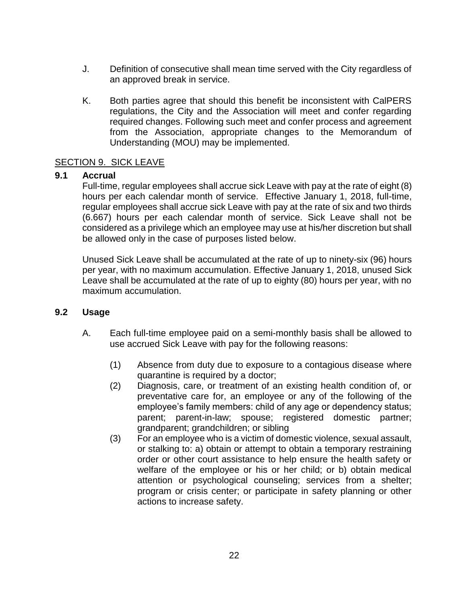- J. Definition of consecutive shall mean time served with the City regardless of an approved break in service.
- K. Both parties agree that should this benefit be inconsistent with CalPERS regulations, the City and the Association will meet and confer regarding required changes. Following such meet and confer process and agreement from the Association, appropriate changes to the Memorandum of Understanding (MOU) may be implemented.

#### <span id="page-21-0"></span>SECTION 9. SICK LEAVE

#### **9.1 Accrual**

Full-time, regular employees shall accrue sick Leave with pay at the rate of eight (8) hours per each calendar month of service. Effective January 1, 2018, full-time, regular employees shall accrue sick Leave with pay at the rate of six and two thirds (6.667) hours per each calendar month of service. Sick Leave shall not be considered as a privilege which an employee may use at his/her discretion but shall be allowed only in the case of purposes listed below.

Unused Sick Leave shall be accumulated at the rate of up to ninety-six (96) hours per year, with no maximum accumulation. Effective January 1, 2018, unused Sick Leave shall be accumulated at the rate of up to eighty (80) hours per year, with no maximum accumulation.

#### **9.2 Usage**

- A. Each full-time employee paid on a semi-monthly basis shall be allowed to use accrued Sick Leave with pay for the following reasons:
	- (1) Absence from duty due to exposure to a contagious disease where quarantine is required by a doctor;
	- (2) Diagnosis, care, or treatment of an existing health condition of, or preventative care for, an employee or any of the following of the employee's family members: child of any age or dependency status; parent; parent-in-law; spouse; registered domestic partner; grandparent; grandchildren; or sibling
	- (3) For an employee who is a victim of domestic violence, sexual assault, or stalking to: a) obtain or attempt to obtain a temporary restraining order or other court assistance to help ensure the health safety or welfare of the employee or his or her child; or b) obtain medical attention or psychological counseling; services from a shelter; program or crisis center; or participate in safety planning or other actions to increase safety.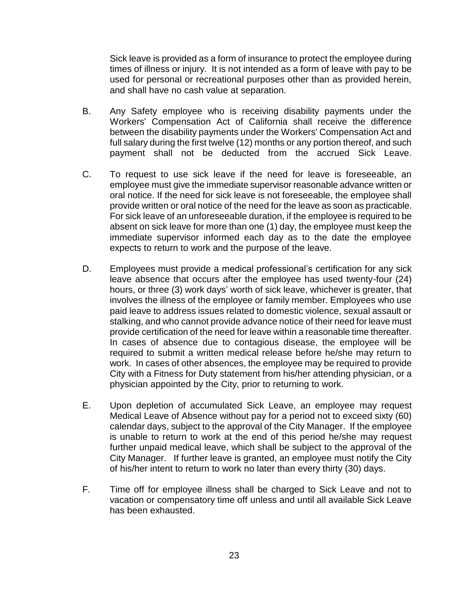Sick leave is provided as a form of insurance to protect the employee during times of illness or injury. It is not intended as a form of leave with pay to be used for personal or recreational purposes other than as provided herein, and shall have no cash value at separation.

- B. Any Safety employee who is receiving disability payments under the Workers' Compensation Act of California shall receive the difference between the disability payments under the Workers' Compensation Act and full salary during the first twelve (12) months or any portion thereof, and such payment shall not be deducted from the accrued Sick Leave.
- C. To request to use sick leave if the need for leave is foreseeable, an employee must give the immediate supervisor reasonable advance written or oral notice. If the need for sick leave is not foreseeable, the employee shall provide written or oral notice of the need for the leave as soon as practicable. For sick leave of an unforeseeable duration, if the employee is required to be absent on sick leave for more than one (1) day, the employee must keep the immediate supervisor informed each day as to the date the employee expects to return to work and the purpose of the leave.
- D. Employees must provide a medical professional's certification for any sick leave absence that occurs after the employee has used twenty-four (24) hours, or three (3) work days' worth of sick leave, whichever is greater, that involves the illness of the employee or family member. Employees who use paid leave to address issues related to domestic violence, sexual assault or stalking, and who cannot provide advance notice of their need for leave must provide certification of the need for leave within a reasonable time thereafter. In cases of absence due to contagious disease, the employee will be required to submit a written medical release before he/she may return to work. In cases of other absences, the employee may be required to provide City with a Fitness for Duty statement from his/her attending physician, or a physician appointed by the City, prior to returning to work.
- E. Upon depletion of accumulated Sick Leave, an employee may request Medical Leave of Absence without pay for a period not to exceed sixty (60) calendar days, subject to the approval of the City Manager. If the employee is unable to return to work at the end of this period he/she may request further unpaid medical leave, which shall be subject to the approval of the City Manager. If further leave is granted, an employee must notify the City of his/her intent to return to work no later than every thirty (30) days.
- F. Time off for employee illness shall be charged to Sick Leave and not to vacation or compensatory time off unless and until all available Sick Leave has been exhausted.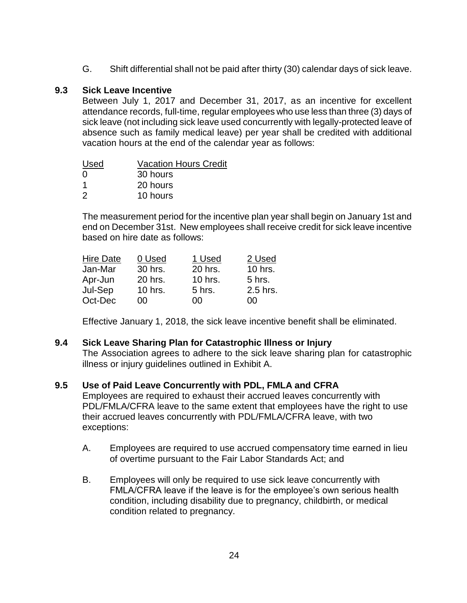G. Shift differential shall not be paid after thirty (30) calendar days of sick leave.

### **9.3 Sick Leave Incentive**

Between July 1, 2017 and December 31, 2017, as an incentive for excellent attendance records, full-time, regular employees who use less than three (3) days of sick leave (not including sick leave used concurrently with legally-protected leave of absence such as family medical leave) per year shall be credited with additional vacation hours at the end of the calendar year as follows:

| Used | <b>Vacation Hours Credit</b> |
|------|------------------------------|
| 0    | 30 hours                     |
| -1   | 20 hours                     |
| 2    | 10 hours                     |

The measurement period for the incentive plan year shall begin on January 1st and end on December 31st. New employees shall receive credit for sick leave incentive based on hire date as follows:

| <b>Hire Date</b> | 0 Used  | 1 Used  | 2 Used   |
|------------------|---------|---------|----------|
| Jan-Mar          | 30 hrs. | 20 hrs. | 10 hrs.  |
| Apr-Jun          | 20 hrs. | 10 hrs. | 5 hrs.   |
| Jul-Sep          | 10 hrs. | 5 hrs.  | 2.5 hrs. |
| Oct-Dec          | იი      | n۵      | იი       |

Effective January 1, 2018, the sick leave incentive benefit shall be eliminated.

#### **9.4 Sick Leave Sharing Plan for Catastrophic Illness or Injury**

The Association agrees to adhere to the sick leave sharing plan for catastrophic illness or injury guidelines outlined in Exhibit A.

#### **9.5 Use of Paid Leave Concurrently with PDL, FMLA and CFRA**

Employees are required to exhaust their accrued leaves concurrently with PDL/FMLA/CFRA leave to the same extent that employees have the right to use their accrued leaves concurrently with PDL/FMLA/CFRA leave, with two exceptions:

- A. Employees are required to use accrued compensatory time earned in lieu of overtime pursuant to the Fair Labor Standards Act; and
- B. Employees will only be required to use sick leave concurrently with FMLA/CFRA leave if the leave is for the employee's own serious health condition, including disability due to pregnancy, childbirth, or medical condition related to pregnancy.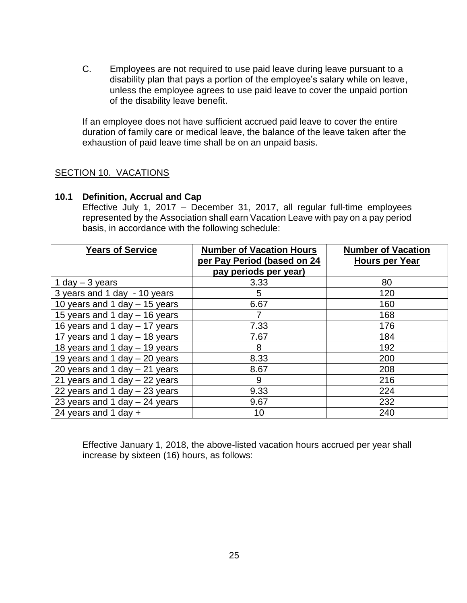C. Employees are not required to use paid leave during leave pursuant to a disability plan that pays a portion of the employee's salary while on leave, unless the employee agrees to use paid leave to cover the unpaid portion of the disability leave benefit.

If an employee does not have sufficient accrued paid leave to cover the entire duration of family care or medical leave, the balance of the leave taken after the exhaustion of paid leave time shall be on an unpaid basis.

#### <span id="page-24-0"></span>SECTION 10. VACATIONS

#### **10.1 Definition, Accrual and Cap**

Effective July 1, 2017 – December 31, 2017, all regular full-time employees represented by the Association shall earn Vacation Leave with pay on a pay period basis, in accordance with the following schedule:

| <b>Years of Service</b>         | <b>Number of Vacation Hours</b><br>per Pay Period (based on 24<br>pay periods per year) | <b>Number of Vacation</b><br><b>Hours per Year</b> |
|---------------------------------|-----------------------------------------------------------------------------------------|----------------------------------------------------|
| 1 day $-$ 3 years               | 3.33                                                                                    | 80                                                 |
| 3 years and 1 day - 10 years    | 5                                                                                       | 120                                                |
| 10 years and 1 day - 15 years   | 6.67                                                                                    | 160                                                |
| 15 years and 1 day - 16 years   |                                                                                         | 168                                                |
| 16 years and 1 day - 17 years   | 7.33                                                                                    | 176                                                |
| 17 years and 1 day - 18 years   | 7.67                                                                                    | 184                                                |
| 18 years and 1 day - 19 years   | 8                                                                                       | 192                                                |
| 19 years and 1 day - 20 years   | 8.33                                                                                    | 200                                                |
| 20 years and 1 day $-$ 21 years | 8.67                                                                                    | 208                                                |
| 21 years and 1 day $-$ 22 years | 9                                                                                       | 216                                                |
| 22 years and 1 day $-$ 23 years | 9.33                                                                                    | 224                                                |
| 23 years and 1 day $-$ 24 years | 9.67                                                                                    | 232                                                |
| 24 years and 1 day $+$          | 10                                                                                      | 240                                                |

Effective January 1, 2018, the above-listed vacation hours accrued per year shall increase by sixteen (16) hours, as follows: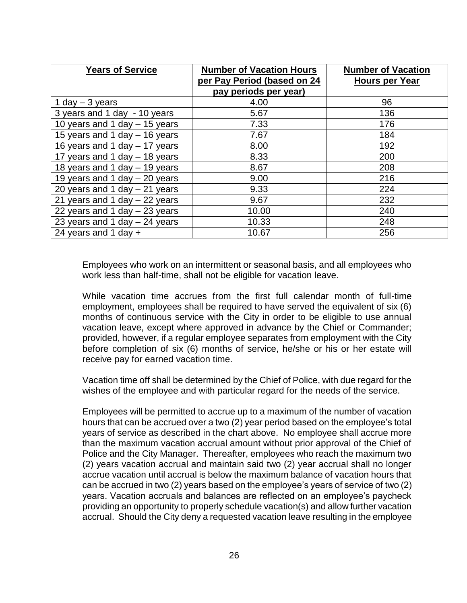| <b>Years of Service</b>         | <b>Number of Vacation Hours</b><br>per Pay Period (based on 24 | <b>Number of Vacation</b><br><b>Hours per Year</b> |
|---------------------------------|----------------------------------------------------------------|----------------------------------------------------|
|                                 | pay periods per year)                                          |                                                    |
| 1 day $-$ 3 years               | 4.00                                                           | 96                                                 |
| 3 years and 1 day - 10 years    | 5.67                                                           | 136                                                |
| 10 years and 1 day $-$ 15 years | 7.33                                                           | 176                                                |
| 15 years and 1 day $-$ 16 years | 7.67                                                           | 184                                                |
| 16 years and 1 day - 17 years   | 8.00                                                           | 192                                                |
| 17 years and 1 day - 18 years   | 8.33                                                           | 200                                                |
| 18 years and 1 day $-$ 19 years | 8.67                                                           | 208                                                |
| 19 years and 1 day $-$ 20 years | 9.00                                                           | 216                                                |
| 20 years and 1 day $-$ 21 years | 9.33                                                           | 224                                                |
| 21 years and 1 day $-$ 22 years | 9.67                                                           | 232                                                |
| 22 years and 1 day $-$ 23 years | 10.00                                                          | 240                                                |
| 23 years and 1 day $-$ 24 years | 10.33                                                          | 248                                                |
| 24 years and 1 day $+$          | 10.67                                                          | 256                                                |

Employees who work on an intermittent or seasonal basis, and all employees who work less than half-time, shall not be eligible for vacation leave.

While vacation time accrues from the first full calendar month of full-time employment, employees shall be required to have served the equivalent of six (6) months of continuous service with the City in order to be eligible to use annual vacation leave, except where approved in advance by the Chief or Commander; provided, however, if a regular employee separates from employment with the City before completion of six (6) months of service, he/she or his or her estate will receive pay for earned vacation time.

Vacation time off shall be determined by the Chief of Police, with due regard for the wishes of the employee and with particular regard for the needs of the service.

Employees will be permitted to accrue up to a maximum of the number of vacation hours that can be accrued over a two (2) year period based on the employee's total years of service as described in the chart above. No employee shall accrue more than the maximum vacation accrual amount without prior approval of the Chief of Police and the City Manager. Thereafter, employees who reach the maximum two (2) years vacation accrual and maintain said two (2) year accrual shall no longer accrue vacation until accrual is below the maximum balance of vacation hours that can be accrued in two (2) years based on the employee's years of service of two (2) years. Vacation accruals and balances are reflected on an employee's paycheck providing an opportunity to properly schedule vacation(s) and allow further vacation accrual. Should the City deny a requested vacation leave resulting in the employee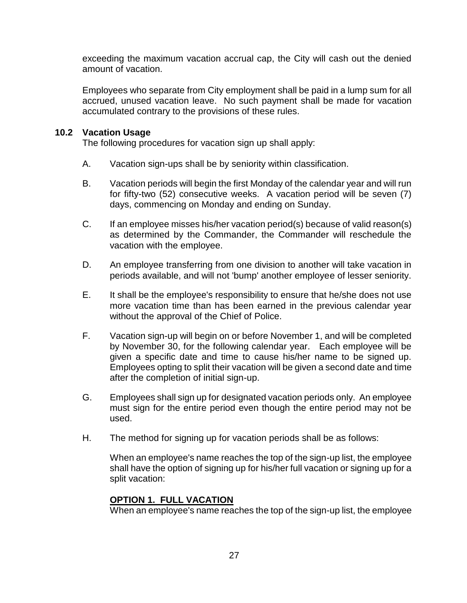exceeding the maximum vacation accrual cap, the City will cash out the denied amount of vacation.

Employees who separate from City employment shall be paid in a lump sum for all accrued, unused vacation leave. No such payment shall be made for vacation accumulated contrary to the provisions of these rules.

### **10.2 Vacation Usage**

The following procedures for vacation sign up shall apply:

- A. Vacation sign-ups shall be by seniority within classification.
- B. Vacation periods will begin the first Monday of the calendar year and will run for fifty-two (52) consecutive weeks. A vacation period will be seven (7) days, commencing on Monday and ending on Sunday.
- C. If an employee misses his/her vacation period(s) because of valid reason(s) as determined by the Commander, the Commander will reschedule the vacation with the employee.
- D. An employee transferring from one division to another will take vacation in periods available, and will not 'bump' another employee of lesser seniority.
- E. It shall be the employee's responsibility to ensure that he/she does not use more vacation time than has been earned in the previous calendar year without the approval of the Chief of Police.
- F. Vacation sign-up will begin on or before November 1, and will be completed by November 30, for the following calendar year. Each employee will be given a specific date and time to cause his/her name to be signed up. Employees opting to split their vacation will be given a second date and time after the completion of initial sign-up.
- G. Employees shall sign up for designated vacation periods only. An employee must sign for the entire period even though the entire period may not be used.
- H. The method for signing up for vacation periods shall be as follows:

When an employee's name reaches the top of the sign-up list, the employee shall have the option of signing up for his/her full vacation or signing up for a split vacation:

# **OPTION 1. FULL VACATION**

When an employee's name reaches the top of the sign-up list, the employee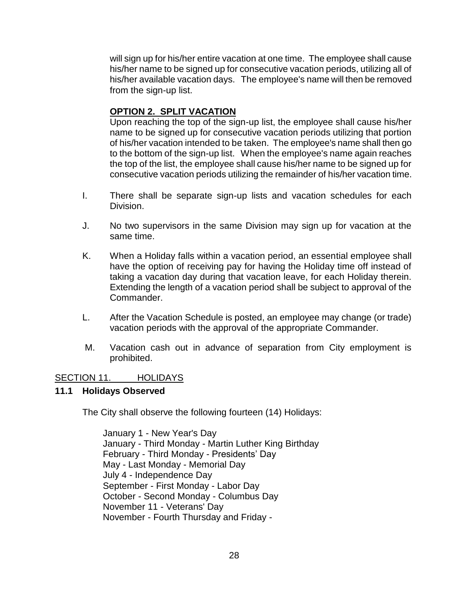will sign up for his/her entire vacation at one time. The employee shall cause his/her name to be signed up for consecutive vacation periods, utilizing all of his/her available vacation days. The employee's name will then be removed from the sign-up list.

# **OPTION 2. SPLIT VACATION**

Upon reaching the top of the sign-up list, the employee shall cause his/her name to be signed up for consecutive vacation periods utilizing that portion of his/her vacation intended to be taken. The employee's name shall then go to the bottom of the sign-up list. When the employee's name again reaches the top of the list, the employee shall cause his/her name to be signed up for consecutive vacation periods utilizing the remainder of his/her vacation time.

- I. There shall be separate sign-up lists and vacation schedules for each Division.
- J. No two supervisors in the same Division may sign up for vacation at the same time.
- K. When a Holiday falls within a vacation period, an essential employee shall have the option of receiving pay for having the Holiday time off instead of taking a vacation day during that vacation leave, for each Holiday therein. Extending the length of a vacation period shall be subject to approval of the Commander.
- L. After the Vacation Schedule is posted, an employee may change (or trade) vacation periods with the approval of the appropriate Commander.
- M. Vacation cash out in advance of separation from City employment is prohibited.

#### <span id="page-27-0"></span>SECTION 11. HOLIDAYS

#### **11.1 Holidays Observed**

The City shall observe the following fourteen (14) Holidays:

January 1 - New Year's Day January - Third Monday - Martin Luther King Birthday February - Third Monday - Presidents' Day May - Last Monday - Memorial Day July 4 - Independence Day September - First Monday - Labor Day October - Second Monday - Columbus Day November 11 - Veterans' Day November - Fourth Thursday and Friday -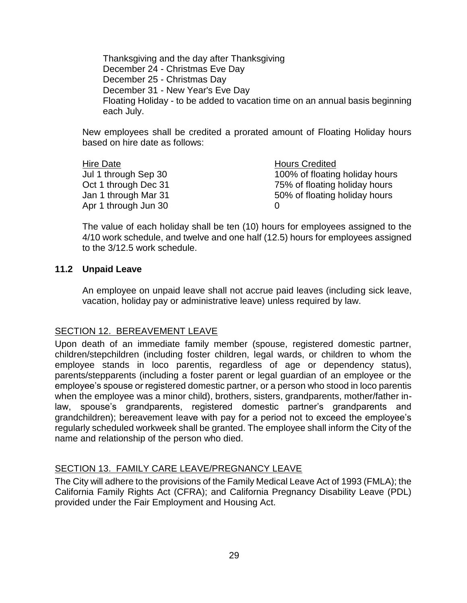Thanksgiving and the day after Thanksgiving December 24 - Christmas Eve Day December 25 - Christmas Day December 31 - New Year's Eve Day Floating Holiday - to be added to vacation time on an annual basis beginning each July.

New employees shall be credited a prorated amount of Floating Holiday hours based on hire date as follows:

| Hire Date            | <b>Hours Credited</b>          |
|----------------------|--------------------------------|
| Jul 1 through Sep 30 | 100% of floating holiday hours |
| Oct 1 through Dec 31 | 75% of floating holiday hours  |
| Jan 1 through Mar 31 | 50% of floating holiday hours  |
| Apr 1 through Jun 30 |                                |

The value of each holiday shall be ten (10) hours for employees assigned to the 4/10 work schedule, and twelve and one half (12.5) hours for employees assigned to the 3/12.5 work schedule.

#### **11.2 Unpaid Leave**

An employee on unpaid leave shall not accrue paid leaves (including sick leave, vacation, holiday pay or administrative leave) unless required by law.

#### <span id="page-28-0"></span>SECTION 12. BEREAVEMENT LEAVE

Upon death of an immediate family member (spouse, registered domestic partner, children/stepchildren (including foster children, legal wards, or children to whom the employee stands in loco parentis, regardless of age or dependency status), parents/stepparents (including a foster parent or legal guardian of an employee or the employee's spouse or registered domestic partner, or a person who stood in loco parentis when the employee was a minor child), brothers, sisters, grandparents, mother/father inlaw, spouse's grandparents, registered domestic partner's grandparents and grandchildren); bereavement leave with pay for a period not to exceed the employee's regularly scheduled workweek shall be granted. The employee shall inform the City of the name and relationship of the person who died.

#### <span id="page-28-1"></span>SECTION 13. FAMILY CARE LEAVE/PREGNANCY LEAVE

The City will adhere to the provisions of the Family Medical Leave Act of 1993 (FMLA); the California Family Rights Act (CFRA); and California Pregnancy Disability Leave (PDL) provided under the Fair Employment and Housing Act.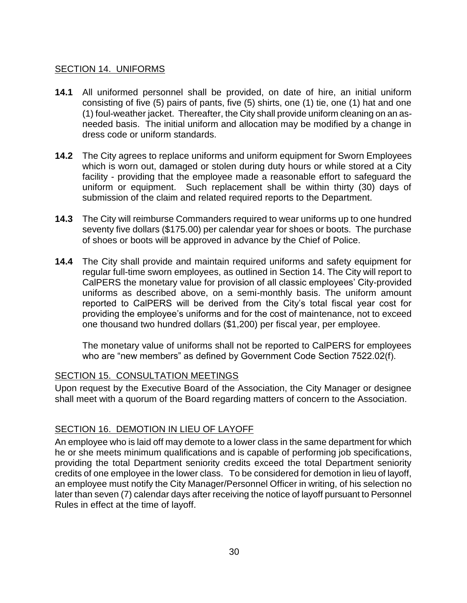#### <span id="page-29-0"></span>SECTION 14. UNIFORMS

- **14.1** All uniformed personnel shall be provided, on date of hire, an initial uniform consisting of five (5) pairs of pants, five (5) shirts, one (1) tie, one (1) hat and one (1) foul-weather jacket. Thereafter, the City shall provide uniform cleaning on an asneeded basis. The initial uniform and allocation may be modified by a change in dress code or uniform standards.
- **14.2** The City agrees to replace uniforms and uniform equipment for Sworn Employees which is worn out, damaged or stolen during duty hours or while stored at a City facility - providing that the employee made a reasonable effort to safeguard the uniform or equipment. Such replacement shall be within thirty (30) days of submission of the claim and related required reports to the Department.
- **14.3** The City will reimburse Commanders required to wear uniforms up to one hundred seventy five dollars (\$175.00) per calendar year for shoes or boots. The purchase of shoes or boots will be approved in advance by the Chief of Police.
- **14.4** The City shall provide and maintain required uniforms and safety equipment for regular full-time sworn employees, as outlined in Section 14. The City will report to CalPERS the monetary value for provision of all classic employees' City-provided uniforms as described above, on a semi-monthly basis. The uniform amount reported to CalPERS will be derived from the City's total fiscal year cost for providing the employee's uniforms and for the cost of maintenance, not to exceed one thousand two hundred dollars (\$1,200) per fiscal year, per employee.

The monetary value of uniforms shall not be reported to CalPERS for employees who are "new members" as defined by Government Code Section 7522.02(f).

#### <span id="page-29-1"></span>SECTION 15. CONSULTATION MEETINGS

Upon request by the Executive Board of the Association, the City Manager or designee shall meet with a quorum of the Board regarding matters of concern to the Association.

#### <span id="page-29-2"></span>SECTION 16. DEMOTION IN LIEU OF LAYOFF

An employee who is laid off may demote to a lower class in the same department for which he or she meets minimum qualifications and is capable of performing job specifications, providing the total Department seniority credits exceed the total Department seniority credits of one employee in the lower class. To be considered for demotion in lieu of layoff, an employee must notify the City Manager/Personnel Officer in writing, of his selection no later than seven (7) calendar days after receiving the notice of layoff pursuant to Personnel Rules in effect at the time of layoff.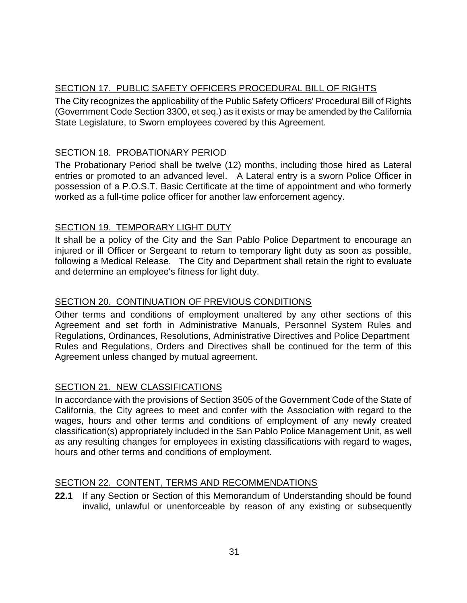# <span id="page-30-0"></span>SECTION 17. PUBLIC SAFETY OFFICERS PROCEDURAL BILL OF RIGHTS

The City recognizes the applicability of the Public Safety Officers' Procedural Bill of Rights (Government Code Section 3300, et seq.) as it exists or may be amended by the California State Legislature, to Sworn employees covered by this Agreement.

# <span id="page-30-1"></span>SECTION 18. PROBATIONARY PERIOD

The Probationary Period shall be twelve (12) months, including those hired as Lateral entries or promoted to an advanced level. A Lateral entry is a sworn Police Officer in possession of a P.O.S.T. Basic Certificate at the time of appointment and who formerly worked as a full-time police officer for another law enforcement agency.

# <span id="page-30-2"></span>SECTION 19. TEMPORARY LIGHT DUTY

It shall be a policy of the City and the San Pablo Police Department to encourage an injured or ill Officer or Sergeant to return to temporary light duty as soon as possible, following a Medical Release. The City and Department shall retain the right to evaluate and determine an employee's fitness for light duty.

# <span id="page-30-3"></span>SECTION 20. CONTINUATION OF PREVIOUS CONDITIONS

Other terms and conditions of employment unaltered by any other sections of this Agreement and set forth in Administrative Manuals, Personnel System Rules and Regulations, Ordinances, Resolutions, Administrative Directives and Police Department Rules and Regulations, Orders and Directives shall be continued for the term of this Agreement unless changed by mutual agreement.

# <span id="page-30-4"></span>SECTION 21. NEW CLASSIFICATIONS

In accordance with the provisions of Section 3505 of the Government Code of the State of California, the City agrees to meet and confer with the Association with regard to the wages, hours and other terms and conditions of employment of any newly created classification(s) appropriately included in the San Pablo Police Management Unit, as well as any resulting changes for employees in existing classifications with regard to wages, hours and other terms and conditions of employment.

# <span id="page-30-5"></span>SECTION 22. CONTENT, TERMS AND RECOMMENDATIONS

**22.1** If any Section or Section of this Memorandum of Understanding should be found invalid, unlawful or unenforceable by reason of any existing or subsequently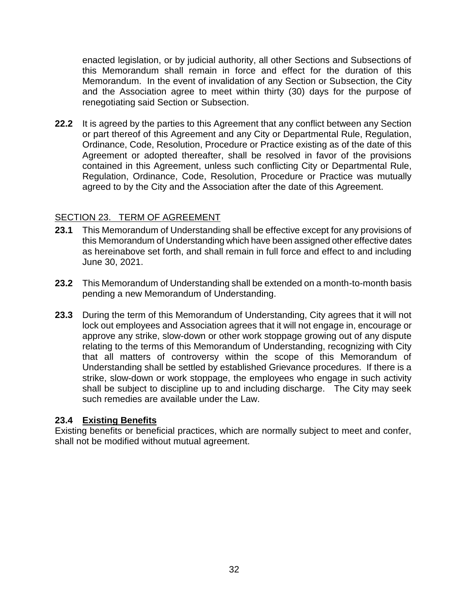enacted legislation, or by judicial authority, all other Sections and Subsections of this Memorandum shall remain in force and effect for the duration of this Memorandum. In the event of invalidation of any Section or Subsection, the City and the Association agree to meet within thirty (30) days for the purpose of renegotiating said Section or Subsection.

**22.2** It is agreed by the parties to this Agreement that any conflict between any Section or part thereof of this Agreement and any City or Departmental Rule, Regulation, Ordinance, Code, Resolution, Procedure or Practice existing as of the date of this Agreement or adopted thereafter, shall be resolved in favor of the provisions contained in this Agreement, unless such conflicting City or Departmental Rule, Regulation, Ordinance, Code, Resolution, Procedure or Practice was mutually agreed to by the City and the Association after the date of this Agreement.

# <span id="page-31-0"></span>SECTION 23. TERM OF AGREEMENT

- **23.1** This Memorandum of Understanding shall be effective except for any provisions of this Memorandum of Understanding which have been assigned other effective dates as hereinabove set forth, and shall remain in full force and effect to and including June 30, 2021.
- **23.2** This Memorandum of Understanding shall be extended on a month-to-month basis pending a new Memorandum of Understanding.
- **23.3** During the term of this Memorandum of Understanding, City agrees that it will not lock out employees and Association agrees that it will not engage in, encourage or approve any strike, slow-down or other work stoppage growing out of any dispute relating to the terms of this Memorandum of Understanding, recognizing with City that all matters of controversy within the scope of this Memorandum of Understanding shall be settled by established Grievance procedures. If there is a strike, slow-down or work stoppage, the employees who engage in such activity shall be subject to discipline up to and including discharge. The City may seek such remedies are available under the Law

#### **23.4 Existing Benefits**

<span id="page-31-1"></span>Existing benefits or beneficial practices, which are normally subject to meet and confer, shall not be modified without mutual agreement.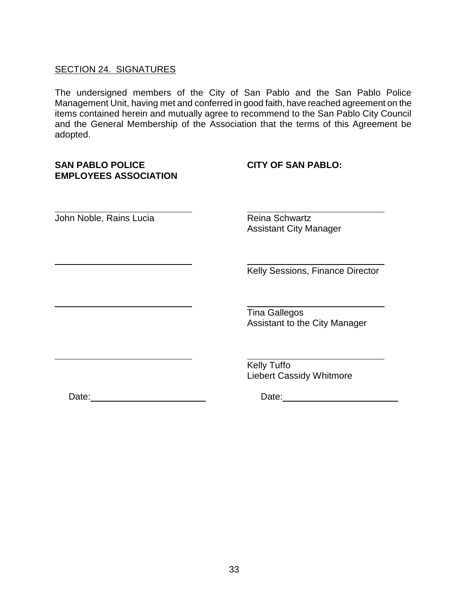### SECTION 24. SIGNATURES

The undersigned members of the City of San Pablo and the San Pablo Police Management Unit, having met and conferred in good faith, have reached agreement on the items contained herein and mutually agree to recommend to the San Pablo City Council and the General Membership of the Association that the terms of this Agreement be adopted.

# **SAN PABLO POLICE CITY OF SAN PABLO: EMPLOYEES ASSOCIATION**

John Noble, Rains Lucia **Reina Schwartz** 

Assistant City Manager

Kelly Sessions, Finance Director

Tina Gallegos Assistant to the City Manager

**Kelly Tuffo** Liebert Cassidy Whitmore

Date: Date: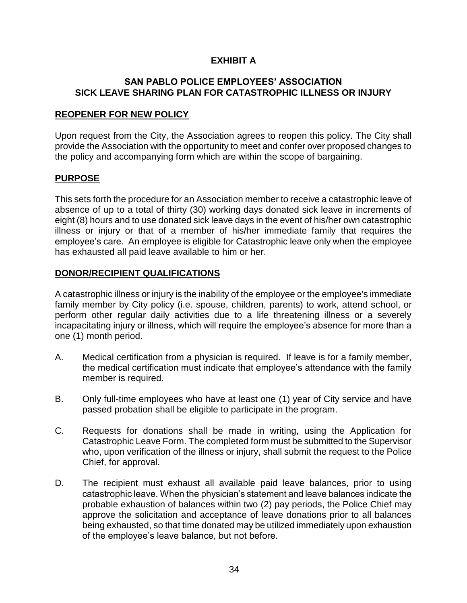# **EXHIBIT A**

#### **SAN PABLO POLICE EMPLOYEES' ASSOCIATION SICK LEAVE SHARING PLAN FOR CATASTROPHIC ILLNESS OR INJURY**

#### **REOPENER FOR NEW POLICY**

Upon request from the City, the Association agrees to reopen this policy. The City shall provide the Association with the opportunity to meet and confer over proposed changes to the policy and accompanying form which are within the scope of bargaining.

#### **PURPOSE**

This sets forth the procedure for an Association member to receive a catastrophic leave of absence of up to a total of thirty (30) working days donated sick leave in increments of eight (8) hours and to use donated sick leave days in the event of his/her own catastrophic illness or injury or that of a member of his/her immediate family that requires the employee's care. An employee is eligible for Catastrophic leave only when the employee has exhausted all paid leave available to him or her.

#### **DONOR/RECIPIENT QUALIFICATIONS**

A catastrophic illness or injury is the inability of the employee or the employee's immediate family member by City policy (i.e. spouse, children, parents) to work, attend school, or perform other regular daily activities due to a life threatening illness or a severely incapacitating injury or illness, which will require the employee's absence for more than a one (1) month period.

- A. Medical certification from a physician is required. If leave is for a family member, the medical certification must indicate that employee's attendance with the family member is required.
- B. Only full-time employees who have at least one (1) year of City service and have passed probation shall be eligible to participate in the program.
- C. Requests for donations shall be made in writing, using the Application for Catastrophic Leave Form. The completed form must be submitted to the Supervisor who, upon verification of the illness or injury, shall submit the request to the Police Chief, for approval.
- D. The recipient must exhaust all available paid leave balances, prior to using catastrophic leave. When the physician's statement and leave balances indicate the probable exhaustion of balances within two (2) pay periods, the Police Chief may approve the solicitation and acceptance of leave donations prior to all balances being exhausted, so that time donated may be utilized immediately upon exhaustion of the employee's leave balance, but not before.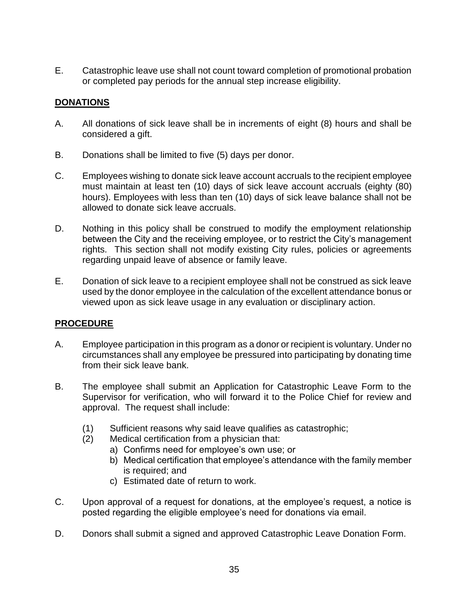E. Catastrophic leave use shall not count toward completion of promotional probation or completed pay periods for the annual step increase eligibility.

# **DONATIONS**

- A. All donations of sick leave shall be in increments of eight (8) hours and shall be considered a gift.
- B. Donations shall be limited to five (5) days per donor.
- C. Employees wishing to donate sick leave account accruals to the recipient employee must maintain at least ten (10) days of sick leave account accruals (eighty (80) hours). Employees with less than ten (10) days of sick leave balance shall not be allowed to donate sick leave accruals.
- D. Nothing in this policy shall be construed to modify the employment relationship between the City and the receiving employee, or to restrict the City's management rights. This section shall not modify existing City rules, policies or agreements regarding unpaid leave of absence or family leave.
- E. Donation of sick leave to a recipient employee shall not be construed as sick leave used by the donor employee in the calculation of the excellent attendance bonus or viewed upon as sick leave usage in any evaluation or disciplinary action.

# **PROCEDURE**

- A. Employee participation in this program as a donor or recipient is voluntary. Under no circumstances shall any employee be pressured into participating by donating time from their sick leave bank.
- B. The employee shall submit an Application for Catastrophic Leave Form to the Supervisor for verification, who will forward it to the Police Chief for review and approval. The request shall include:
	- (1) Sufficient reasons why said leave qualifies as catastrophic;
	- (2) Medical certification from a physician that:
		- a) Confirms need for employee's own use; or
		- b) Medical certification that employee's attendance with the family member is required; and
		- c) Estimated date of return to work.
- C. Upon approval of a request for donations, at the employee's request, a notice is posted regarding the eligible employee's need for donations via email.
- D. Donors shall submit a signed and approved Catastrophic Leave Donation Form.